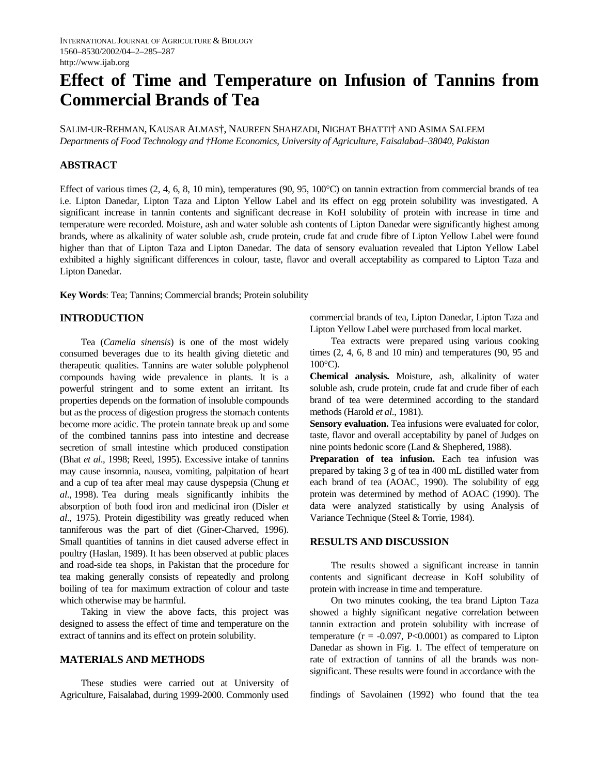# **Effect of Time and Temperature on Infusion of Tannins from Commercial Brands of Tea**

SALIM-UR-REHMAN, KAUSAR ALMAS†, NAUREEN SHAHZADI, NIGHAT BHATTI† AND ASIMA SALEEM *Departments of Food Technology and †Home Economics, University of Agriculture, Faisalabad–38040, Pakistan* 

### **ABSTRACT**

Effect of various times (2, 4, 6, 8, 10 min), temperatures (90, 95, 100°C) on tannin extraction from commercial brands of tea i.e. Lipton Danedar, Lipton Taza and Lipton Yellow Label and its effect on egg protein solubility was investigated. A significant increase in tannin contents and significant decrease in KoH solubility of protein with increase in time and temperature were recorded. Moisture, ash and water soluble ash contents of Lipton Danedar were significantly highest among brands, where as alkalinity of water soluble ash, crude protein, crude fat and crude fibre of Lipton Yellow Label were found higher than that of Lipton Taza and Lipton Danedar. The data of sensory evaluation revealed that Lipton Yellow Label exhibited a highly significant differences in colour, taste, flavor and overall acceptability as compared to Lipton Taza and Lipton Danedar.

**Key Words**: Tea; Tannins; Commercial brands; Protein solubility

# **INTRODUCTION**

 Tea (*Camelia sinensis*) is one of the most widely consumed beverages due to its health giving dietetic and therapeutic qualities. Tannins are water soluble polyphenol compounds having wide prevalence in plants. It is a powerful stringent and to some extent an irritant. Its properties depends on the formation of insoluble compounds but as the process of digestion progress the stomach contents become more acidic. The protein tannate break up and some of the combined tannins pass into intestine and decrease secretion of small intestine which produced constipation (Bhat *et al*., 1998; Reed, 1995). Excessive intake of tannins may cause insomnia, nausea, vomiting, palpitation of heart and a cup of tea after meal may cause dyspepsia (Chung *et al*., 1998). Tea during meals significantly inhibits the absorption of both food iron and medicinal iron (Disler *et al*., 1975). Protein digestibility was greatly reduced when tanniferous was the part of diet (Giner-Charved, 1996). Small quantities of tannins in diet caused adverse effect in poultry (Haslan, 1989). It has been observed at public places and road-side tea shops, in Pakistan that the procedure for tea making generally consists of repeatedly and prolong boiling of tea for maximum extraction of colour and taste which otherwise may be harmful.

 Taking in view the above facts, this project was designed to assess the effect of time and temperature on the extract of tannins and its effect on protein solubility.

# **MATERIALS AND METHODS**

 These studies were carried out at University of Agriculture, Faisalabad, during 1999-2000. Commonly used commercial brands of tea, Lipton Danedar, Lipton Taza and Lipton Yellow Label were purchased from local market.

 Tea extracts were prepared using various cooking times (2, 4, 6, 8 and 10 min) and temperatures (90, 95 and  $100^{\circ}$ C).

**Chemical analysis.** Moisture, ash, alkalinity of water soluble ash, crude protein, crude fat and crude fiber of each brand of tea were determined according to the standard methods (Harold *et al*., 1981).

**Sensory evaluation.** Tea infusions were evaluated for color, taste, flavor and overall acceptability by panel of Judges on nine points hedonic score (Land & Shephered, 1988).

Preparation of tea infusion. Each tea infusion was prepared by taking 3 g of tea in 400 mL distilled water from each brand of tea (AOAC, 1990). The solubility of egg protein was determined by method of AOAC (1990). The data were analyzed statistically by using Analysis of Variance Technique (Steel & Torrie, 1984).

### **RESULTS AND DISCUSSION**

 The results showed a significant increase in tannin contents and significant decrease in KoH solubility of protein with increase in time and temperature.

 On two minutes cooking, the tea brand Lipton Taza showed a highly significant negative correlation between tannin extraction and protein solubility with increase of temperature ( $r = -0.097$ , P<0.0001) as compared to Lipton Danedar as shown in Fig. 1. The effect of temperature on rate of extraction of tannins of all the brands was nonsignificant. These results were found in accordance with the

findings of Savolainen (1992) who found that the tea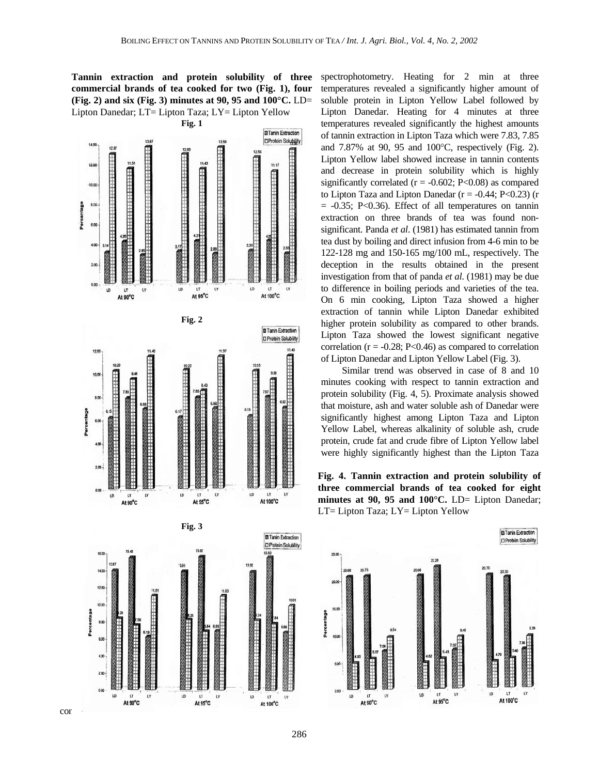**Tannin extraction and protein solubility of three commercial brands of tea cooked for two (Fig. 1), four (Fig. 2) and six (Fig. 3) minutes at 90, 95 and 100°C.** LD= Lipton Danedar; LT= Lipton Taza; LY= Lipton Yellow



spectrophotometry. Heating for 2 min at three temperatures revealed a significantly higher amount of soluble protein in Lipton Yellow Label followed by Lipton Danedar. Heating for 4 minutes at three temperatures revealed significantly the highest amounts of tannin extraction in Lipton Taza which were 7.83, 7.85 and 7.87% at 90, 95 and 100°C, respectively (Fig. 2). Lipton Yellow label showed increase in tannin contents and decrease in protein solubility which is highly significantly correlated ( $r = -0.602$ ; P<0.08) as compared to Lipton Taza and Lipton Danedar ( $r = -0.44$ ; P<0.23) (r  $= -0.35$ ; P<0.36). Effect of all temperatures on tannin extraction on three brands of tea was found nonsignificant. Panda *et al*. (1981) has estimated tannin from tea dust by boiling and direct infusion from 4-6 min to be 122-128 mg and 150-165 mg/100 mL, respectively. The deception in the results obtained in the present investigation from that of panda *et al*. (1981) may be due to difference in boiling periods and varieties of the tea. On 6 min cooking, Lipton Taza showed a higher extraction of tannin while Lipton Danedar exhibited higher protein solubility as compared to other brands. Lipton Taza showed the lowest significant negative correlation ( $r = -0.28$ ; P<0.46) as compared to correlation of Lipton Danedar and Lipton Yellow Label (Fig. 3).

 Similar trend was observed in case of 8 and 10 minutes cooking with respect to tannin extraction and protein solubility (Fig. 4, 5). Proximate analysis showed that moisture, ash and water soluble ash of Danedar were significantly highest among Lipton Taza and Lipton Yellow Label, whereas alkalinity of soluble ash, crude protein, crude fat and crude fibre of Lipton Yellow label were highly significantly highest than the Lipton Taza

**Fig. 4. Tannin extraction and protein solubility of three commercial brands of tea cooked for eight**  minutes at 90, 95 and 100°C. LD= Lipton Danedar; LT= Lipton Taza; LY= Lipton Yellow